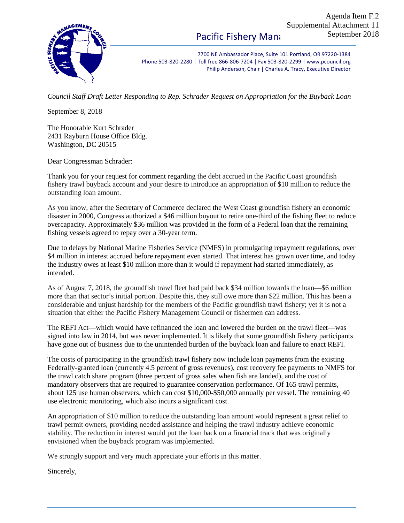7700 NE Ambassador Place, Suite 101 Portland, OR 97220-1384 Phone 503-820-2280 | Toll free 866-806-7204 | Fax 503-820-2299 | www.pcouncil.org Philip Anderson, Chair | Charles A. Tracy, Executive Director

*Council Staff Draft Letter Responding to Rep. Schrader Request on Appropriation for the Buyback Loan*

September 8, 2018

The Honorable Kurt Schrader 2431 Rayburn House Office Bldg. Washington, DC 20515

Dear Congressman Schrader:

Thank you for your request for comment regarding the debt accrued in the Pacific Coast groundfish fishery trawl buyback account and your desire to introduce an appropriation of \$10 million to reduce the outstanding loan amount.

As you know, after the Secretary of Commerce declared the West Coast groundfish fishery an economic disaster in 2000, Congress authorized a \$46 million buyout to retire one-third of the fishing fleet to reduce overcapacity. Approximately \$36 million was provided in the form of a Federal loan that the remaining fishing vessels agreed to repay over a 30-year term.

Due to delays by National Marine Fisheries Service (NMFS) in promulgating repayment regulations, over \$4 million in interest accrued before repayment even started. That interest has grown over time, and today the industry owes at least \$10 million more than it would if repayment had started immediately, as intended.

As of August 7, 2018, the groundfish trawl fleet had paid back \$34 million towards the loan—\$6 million more than that sector's initial portion. Despite this, they still owe more than \$22 million. This has been a considerable and unjust hardship for the members of the Pacific groundfish trawl fishery; yet it is not a situation that either the Pacific Fishery Management Council or fishermen can address.

The REFI Act—which would have refinanced the loan and lowered the burden on the trawl fleet—was signed into law in 2014, but was never implemented. It is likely that some groundfish fishery participants have gone out of business due to the unintended burden of the buyback loan and failure to enact REFI.

The costs of participating in the groundfish trawl fishery now include loan payments from the existing Federally-granted loan (currently 4.5 percent of gross revenues), cost recovery fee payments to NMFS for the trawl catch share program (three percent of gross sales when fish are landed), and the cost of mandatory observers that are required to guarantee conservation performance. Of 165 trawl permits, about 125 use human observers, which can cost \$10,000-\$50,000 annually per vessel. The remaining 40 use electronic monitoring, which also incurs a significant cost.

An appropriation of \$10 million to reduce the outstanding loan amount would represent a great relief to trawl permit owners, providing needed assistance and helping the trawl industry achieve economic stability. The reduction in interest would put the loan back on a financial track that was originally envisioned when the buyback program was implemented.

We strongly support and very much appreciate your efforts in this matter.

Sincerely,